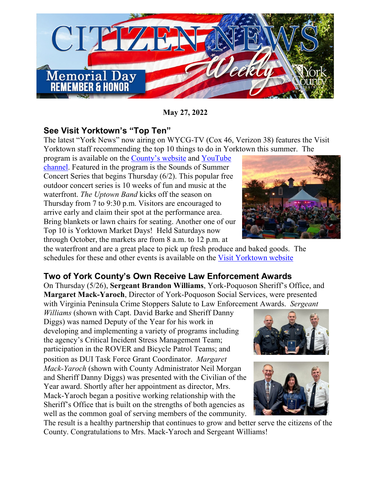

**May 27, 2022**

## **See Visit Yorktown's "Top Ten"**

The latest "York News" now airing on WYCG-TV (Cox 46, Verizon 38) features the Visit Yorktown staff recommending the top 10 things to do in Yorktown this summer. The

program is available on the [County's website](https://www.yorkcounty.gov/365/Local-Programs) and [YouTube](https://www.youtube.com/watch?v=GedzwcLWxj8)  [channel.](https://www.youtube.com/watch?v=GedzwcLWxj8) Featured in the program is the Sounds of Summer Concert Series that begins Thursday (6/2). This popular free outdoor concert series is 10 weeks of fun and music at the waterfront. *The Uptown Band* kicks off the season on Thursday from 7 to 9:30 p.m. Visitors are encouraged to arrive early and claim their spot at the performance area. Bring blankets or lawn chairs for seating. Another one of our Top 10 is Yorktown Market Days! Held Saturdays now through October, the markets are from 8 a.m. to 12 p.m. at

the waterfront and are a great place to pick up fresh produce and baked goods. The schedules for these and other events is available on the [Visit Yorktown website](https://www.visityorktown.org/)

## **Two of York County's Own Receive Law Enforcement Awards**

On Thursday (5/26), **Sergeant Brandon Williams**, York-Poquoson Sheriff's Office, and **Margaret Mack-Yaroch**, Director of York-Poquoson Social Services, were presented with Virginia Peninsula Crime Stoppers Salute to Law Enforcement Awards. *Sergeant* 

*Williams* (shown with Capt. David Barke and Sheriff Danny Diggs) was named Deputy of the Year for his work in developing and implementing a variety of programs including the agency's Critical Incident Stress Management Team; participation in the ROVER and Bicycle Patrol Teams; and position as DUI Task Force Grant Coordinator. *Margaret Mack-Yaroch* (shown with County Administrator Neil Morgan and Sheriff Danny Diggs) was presented with the Civilian of the Year award. Shortly after her appointment as director, Mrs. Mack-Yaroch began a positive working relationship with the Sheriff's Office that is built on the strengths of both agencies as well as the common goal of serving members of the community.





The result is a healthy partnership that continues to grow and better serve the citizens of the County. Congratulations to Mrs. Mack-Yaroch and Sergeant Williams!